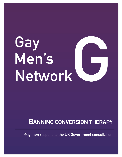# Gay Men's Network

## **BANNING CONVERSION THERAPY**

**Gay men respond to the UK Government consultation**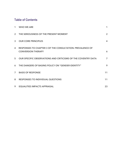#### **Table of Contents**

| 1              | <b>WHO WE ARE</b>                                                                      | 1                       |
|----------------|----------------------------------------------------------------------------------------|-------------------------|
| 2 <sup>1</sup> | THE SERIOUSNESS OF THE PRESENT MOMENT                                                  | $\overline{2}$          |
| 3              | <b>OUR CORE PRINCIPLES</b>                                                             | $\overline{\mathbf{A}}$ |
| 4              | RESPONSES TO CHAPTER 3 OF THE CONSULTATION: PREVALENCE OF<br><b>CONVERSION THERAPY</b> | 6                       |
| 5              | OUR SPECIFIC OBSERVATIONS AND CRITICISMS OF THE COVENTRY DATA                          | $\overline{7}$          |
| 6              | THE DANGERS OF BASING POLICY ON "GENDER IDENTITY"                                      | 9                       |
| $\overline{7}$ | <b>BASIS OF RESPONSE</b>                                                               | 11                      |
| 8              | <b>RESPONSES TO INDIVIDUAL QUESTIONS</b>                                               | 11                      |
| 9              | <b>EQUALITIES IMPACTS APPRAISAL</b>                                                    | 23                      |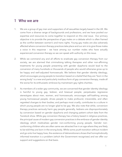#### **1 Who we are**

- 1. We are a group of gay men and supporters of all sexualities largely based in the UK. We come from a diverse range of backgrounds and professions, and we have pooled our expertise and resources to come together to respond on this vital issue. Our primary objective is to provide the perspective of gay males on a debate which is often framed as the conflict between women's and trans rights. Young gay males are also adversely affected where conversion therapy practices take place and our aim is to give those males a voice in this response – we have among our number males who have actually experienced conversion therapy so we can speak with authority on this issue.
- 2. While we commend any and all efforts to eradicate gay conversion therapy from our society, we are alarmed that criminalising talking therapies and other non-affirming treatments for young people presenting with gender dysphoria would lead to the conversion of many hundreds or thousands of people who would otherwise grow up to be happy and well-adjusted homosexuals. We believe that gender identity ideology, which encourages young people to transition based on a belief that they are "born in the wrong body" is a new and particularly insidious form of gay conversion therapy, made all the worse for its enthusiastic embrace by mainstream gay rights charities.
- 3. As members of a wider gay community, we are concerned that gender identity ideology is harmful to young gay, lesbian, and bisexual people; perpetuates regressive stereotypes about men, women, and homosexuals; encourages self-loathing among young homosexual people; drives people to make profound, irreversible, and often regretted changes to their bodies; and perhaps most cruelly, contributes to a culture in which young people are no longer glad to be gay. We also note that while, conversion therapy practices seriously harm gay people generally, lesbians are disproportionately by conversion based on gender dysphoria and changing patient cohort data from the Tavistock show. While gay conversion therapy has a history based in religious practices, the principal cause of modern gay conversion practices is the embrace of gender identity ideology which medicalises gender non-conforming young people. Gender nonconforming children who are often same-sex attracted live in an age where they are likely to be told they are born in the wrong body. While some youth transition without incident and go onto live happy lives, the existence of detransitioners shows that homophobically informed transition is a problem (which the Government recognises) and we offer our support and suggestions on that basis.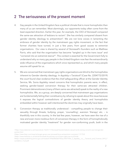## **2 The seriousness of the present moment**

- 4. Gay people in the United Kingdom face a political climate that is more homophobic than many of us can remember. Most alarmingly, our opponents today often come from the least expected direction. Earlier this year, for example, the CEO of Stonewall compared the same-sex attraction of lesbians to racism<sup>1</sup>. She has similarly compared dissent from gender identity ideology to antisemitism<sup>2</sup>. We are not lone voices in lamenting the embrace of gender identity by the mainstream gay rights movement, or the fact that former charities have turned, in just a few years, from good causes to extremist organisations. Our view is shared by several of Stonewall's founders such as Matthew Parris, who said that the organisation has become "tangled up in the trans issue" and "cornered into an extremist stance<sup>3</sup>". This context is essential for the Government fully to understand why so many gay people in the United Kingdom now fear the extraordinarily wide influence of the organisations which once represented us, and which many people assume still speak for us.
- 5. We are concerned that mainstream gay rights organisations are blind to the homophobia inherent to Gender identity ideology. In *Appleby v Tavistock<sup>4</sup>* (Case No. 2204772/2019) the court found clear evidence that the chief safeguarding officer at the Gender Identity Service, Ms. Sonia Appleby raised concerns that homophobic parents were, in effect, seeking gender-based conversion therapy for their same-sex attracted children. Prominent detransitioners (many of them same-sex attracted) speak to the reality of a new homophobia. We, as a group, are deeply concerned that mainstream gay organisations are fundamentally failing their constituency by refusing to speak about this issue because it exposes the logical contradictions of gender identity theory and homophobia embedded within however well-intentioned the doctrines may originally have been.
- 6. Conversion therapy as traditionally understood compelling people to change their sexuality through threats, bullying, prayer, 'counselling', aversion 'therapy' etc. – is thankfully rare in this country. In the last few years, however, we have seen the rise of a new and even more insidious form of conversion therapy in the form of homophobically motivated gender identity "treatment" for gender non-conforming youth, both in the

<sup>1</sup>https://www.dailymail.co.uk/news/article-10225111/Stonewall-brands-lesbians-sexual-racists-raising-concerns-sex-transgenderwomen.html

<sup>2</sup>https://www.thejc.com/news/uk/anger-grows-over-stonewall-boss-antisemitism-comment-1.517532

<sup>3</sup>https://www.thetimes.co.uk/article/stonewall-should-stay-out-of-trans-rights-war-xcz25nhdt

<sup>4</sup>https://assets.publishing.service.gov.uk/media/6149eb48d3bf7f05ac396f79/Ms\_S\_Appleby\_\_vs\_\_\_Tavistock\_and\_Portman\_NHS\_F oundation\_Trust.pdf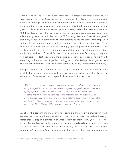United Kingdom and in other countries that have embraced gender identity theory. As noted by the court in the *Appleby* case, this is the conversion of young same-sex attracted people by ideologically-driven adults and organisations, who tell them they are born in the wrong body. This concern was repeated by Dr David Bell, a former employee and governor of the Gender Identity Development Service (GIDS) at the Tavistock & Portman NHS Foundation Trust ("the Tavistock") both in an internally commissioned report<sup>5</sup> and subsequently in the media. Dr Bell told the BBC investigative series "Nolan investigates6" that many gender non-conforming children referred to the Tavistock were simply gay and would, as they grew and developed naturally, accept this was the case. These concerns are wholly ignored by mainstream gay rights organisations; the result is that gay boys and lesbian girls are being put on a path that leads to lifelong medicalisation, sterilisation, and loss of sexual function. We believe this is self-evidently wrong and homophobic, in effect, gay youth are treated as second class patients to be "fixed" according to the principles of gender ideology which effectively punishes gender nonconformity with medicalisation while at the same denying any underpinning pathology.

7. We appreciate that the government is alive to this concern and note what the Secretary of State for Foreign, Commonwealth and Development Affairs and the Minister for Women and Equalities wrote in chapter 2 of the consultation document:

> *"This is also the case should a person try to change another from being transgender or to being transgender. It is important that a person experiencing gender dysphoria is able to openly explore what works for them without feeling pressured into any particular outcome. The government is determined to ensure that no person is put on a clinical pathway that is not right for them, and that young people are supported in exploring their identity without being encouraged towards one particular path. Forcing or coercing a person into this position would be considered conversion therapy."*

We share this concern and many of us feel compelled to prevent a situation in which same-sex attracted youth are pushed into trans identification on the basis of ideology, rather than a proper examination of what is right for them. Many (if not all) of the signatories to this response have remarked that they could easily have been candidates for gender-based conversion therapy because they were in some way "gender nonconforming "/ academic / autistic or a combination thereof when they were young men

<sup>5</sup> https://www.theguardian.com/society/2019/feb/23/child-transgender-service-governor-quits-chaos 6 https://www.bbc.co.uk/sounds/play/p09yk7dh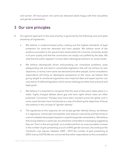and women. All have grown into same-sex attracted adults happy with their sexualities and gender presentation.

## **3 Our core principles**

- 8. Our general approach to this area of policy is governed by the following core principles shared by all signatories:
	- a. We believe in evidence-based policy making and the highest standards of legal protection for same-sex attracted and trans people. We believe some of the evidence provided to the government (particularly the Coventry University study) is of poor quality and that the conclusions are simply not justified by the data. We note that the author appears<sup>7</sup> to have taken ideological positions on social media.
	- b. We believe ideologically driven policymaking can misanalyse problems, pose safeguarding risk and lead to unworkable legislation that will not achieve its own objectives, or worse, harm same-sex attracted and other people. Some consultation respondents will bring an ideological perspective to this issue; we believe that giving weight to emotional arguments over empirical data and expert opinion can only lead to ill-defined legislation which serves ideological rather than practical and legal goals.
	- c. We believe it is important to recognise that this area of discussion takes place in a wider, highly charged debate about gay and trans rights where views are often polarised. Conversion Therapy bans have been enacted across the globe and in some cases the bans have functioned as a way of furthering the objectives of those who believe in the concept of "gender identity".
	- d. The signatories to this response do not accept gender identity theory; we believe it is regressive, intrinsically homophobic and reduces masculinity and femininity to a set of outdated stereotypes based on superficial gender presentation. We believe that young lesbians in particular are extremely vulnerable to messaging suggesting they are "born in the wrong body" as is evidenced from an unaccountable increase in the number of girls presenting as such at NHS gender services. (According to the Tavistock's own figures, between 2009 - 2019 the number of girls presenting at GIDS rose by 5337%) We are concerned that other respondents to this consultation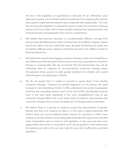will see in this legislation an opportunity to advocate for an "affirmation only" approach (a policy which forbids medical practitioners from exploring the reasons why a patient might feel themselves to be at odds with their sexed body). This risks the very thing this legislation is designed to avoid; namely, the conversion of young lesbians into trans 'males' which means double mastectomies, hysterectomies, loss of sexual function and potentially other serious complications.

- e. We believe that same-sex attraction is a fundamentally different concept from being a trans-identified person. Both constituencies are entitled to dignity, respect and to the rights in law we collectively enjoy. No party should lose any rights, but we believe different policy solutions should be tailored to the different needs of these constituencies.
- f. We believe the case for banning gay conversion therapy is clear and compelling on the evidence and that the government's case on banning "symmetrical" conversion therapy in unanswerable. We are concerned that the Government may not be sufficiently alive to instances of non-symmetrical conversion therapy where homophobia drives parents to seek gender treatment for children who would otherwise grow up happily gay or lesbian.
- g. We do not accept that it is useful or accurate to speak about "Trans identity conversion therapy". Treatment for gender dysphoria is in its infancy; the rapid increase in trans-identifying children is little understood and poorly investigated; and there are compelling reasons (such as the work of the Cass Review) to pause work in this area while legislating in the more straightforward case of gay conversion therapy Where the much larger body of evidence demonstrates that conversion therapy fails to achieve its stated aim of changing sexual orientation.
- h. We believe there is a paucity of evidence around the phenomenon of gender identity and that such research as there is in this area is highly politicised. We believe there are sound evidence-based reasons for pausing to collect more evidence such that children can be adequately protected. We regret very much that some respondents seem to want to rush legislation in this area and have even argued there should be no consultation at all; we are grateful to the Government for resisting such calls which can only make for poor and insufficiently scrutinised legislation.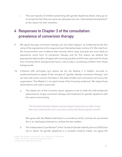i. The vast majority of children presenting with gender dysphoria desist, many go on to accept the fact they are same-sex attracted and cite "internalised homophobia<sup>8</sup>" as the reason for their transition.

## **4 Responses to Chapter 3 of the consultation: prevalence of conversion therapy**

- 9. We agree that gay conversion therapy can and does happen, as evidenced by the fact some of the signatories to this response have themselves been victims of it. We note from the Government's own evidence that minority ethnic boys and girls are more likely to experience some form of conversion therapy and for this reason we believe the appropriate state bodies charged with ensuring equality and fairness, particular for those from minority ethnic backgrounds have a role to play in protecting children from those backgrounds.
- 10. Coherent with principles (g-i) above we do not believe it is helpful, accurate or evidenced-based to speak of the concept of "gender identity conversion therapy" and we note with some concern the flaws in the data models and conclusions set out by the organisation "Sex Matters" in its rapid review of the Coventry evidence<sup>9</sup>. We adopt those observations and note in particular:
	- a. The stated aim of the Coventry report appears to be to elide the well-evidenced phenomenon of gay conversion therapy with treatment for gender dysphoria with the report commenting

*"The boundaries between religious and psychological approaches are often unclear with many combining the two in a way that could be described as pseudo-scientific".*

We agree with Sex Matters that there is no evidence of this, and we are concerned this is an ideological attempt to confuse the two matters.

b. The independent Cass Review<sup>10</sup> of the Tavistock Gender Identity Service (GIDS) has yet to report. As gender dysphoria is a complex medical matter, we agree the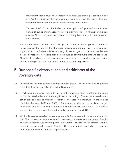government should await this expert medical evidence before proceeding in this area. (Which is not to say that the government cannot or should not act on the more straightforward matter of gay conversion therapy at this point).

- c. The case of *Bell v Tavistock* is likely to be taken up by the Supreme Court as it raises matters of public importance. This case is likely to centre on whether a child can ever be Gillick competent to consent to puberty blockers (which are presently experimental).
- 11. We add to these observations the following. Detransitioners are marginalised and often speak against the flow of the ideological discourse promoted by mainstream gay organisations. We believe this to be wrong. As we will go on to develop, we believe detransitioners are a neglected group who should be offered more care and assistance. They should also be consulted about their experiences so policy makers can get a better understanding of how (and how often) gender services can go wrong.

## **5 Our specific observations and criticisms of the Coventry data**

- 12. In addition to the observations we adopt from Sex Matters, we make the following points regarding the evidence submitted to the Government.
- 13. It is clear from the outset that both the Coventry University report and the evidence on which it is based suffer from some significant shortcomings. The report is based a data set of articles obtained through a search of the academic literature on the subject published between 2000 and 2020. For a practice with as long a history as gay conversion therapy, a 20-year window is decidedly narrow. Furthermore, in terms of gender identity conversion therapy, the earliest study was from 2018.
- 14. Of the 46 studies selected as being relevant to the report only three were from the UK. One focused on sexual orientation conversion therapy, one on gender identity conversion therapy and covering both. Put another way 85% of the material used to inform the report was from North America. There were virtually no studies – particularly in relation to gay men – from the UK perspective.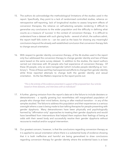- 15. The authors do acknowledge the methodological limitations of the studies used in the report. Specifically, they point to a lack of randomised controlled studies, reliance on retrospective self-reporting, lack of longitudinal studies to assess long-term effects of conversion therapies, the reliance on self-selecting samples rendering it difficult to generalise any conclusions to the wider population and the difficulty in defining what counts as a measure of 'success' in the context of conversion therapy. It is difficult to understand how a dataset with such glaring faults – several of which, the authors admit, the report itself falls victim to – can be used as the basis for drawing any meaningful conclusions beyond the already well-established conclusion that conversion therapy fails to change sexual orientation.
- 16. With respect to gender identity conversion therapy, of the 46 studies used in the report only four addressed the conversion therapy to change gender identity and two of these were based on the same survey dataset. In addition to the studies, the report authors carried out interviews with 30 people who had experience of conversion therapy. Of these 30 people, only six were transgender (which includes people identifying as 'nonbinary'). Three of these said they had experienced efforts to change their gender identity while three reported attempts to change both the gender identity and sexual orientation. As the Sex Matters response to the report points out:

#### *"This is the entirety of the evidence presented in support of the proposed ban: four articles based on three datasets, and interviews with six individuals"*

- 17. A further, glaring omission from the report's data set is the failure to include desisters or detransitioners – a rapidly growing but nevertheless still marginalised population of people who change their mind before, during or after medical transition – in any of the samples studied. The failure to address this population and their experiences is a serious oversight where a case is being made to ban talking therapies for people presenting with gender dysphoria. Many detransitioners have been physically and psychologically harmed by "affirmation-only" approaches to treating their gender dysphoria and would have benefitted from interventions that helped them explore their feelings of being at odds with their sexed body and successfully resolve their gender dysphoria without recourse to medical and/or surgical intervention.
- 18. Our greatest concern, however, is that the conclusions regarding conversion therapy as it is applied to sexual orientation where there is a substantial body of evidence showing that it is both ineffective and harmful are being generalised to draw conclusions regarding conversion therapy for gender identity where the evidential basis is at best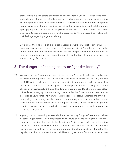scant. Without clear, stable definitions of gender identity (which, in other areas of the wider debate is framed as being fluid anyway) and when what constitutes an attempt to change gender identity is so widely drawn, it is difficult to see what a ban on gender identity conversion therapy would achieve other than making it more difficult for people – young people in particular – to fully explore their sense of disconnection with their sexed body prior to taking drastic and irreversible steps to alter their physical body in line with their feelings regarding a gender identity.

19. Set against the backdrop of a political landscape where influential lobby groups are inserting language and concepts such as "sex assigned at birth" and being "born in the wrong body" into the national discourse, we are deeply concerned by attempts to criminalise legitimate and necessary therapeutic exploration of gender dysphoria on such a paucity of evidence.

## **6 The dangers of basing policy on "gender identity"**

- 20. We note that the Government does not use the term "gender identity" and we believe this is the right approach. The law contains a definition of "transexual" in s.7(2) Equality Act 2010 which is defined as a person proposing to undergo, is undergoing, or has undergone a process or part of a process for the purpose of reassigning their sex by change of physiological attributes. This definition was intended to offer protection at law primarily to a category of adult making claims under the Equality Act and we take no objection to how it functions in law for that purpose. We observe that there are difficulties in applying this to young people, the most common targets of conversion therapy and there are even greater difficulties in basing law or policy on the concept of "gender identity" which we fear some may try to elide with the government's consultation wording of "being transgender".
- 21. A young person presenting at a gender identity clinic may "propose" to undergo whole or part of a gender reassignment process which would prima facie bring them within the protected characteristic at law. As the Secretary of State recognises in her desire not to see children making irreversible medical decisions, it would entirely thwart her perfectly sensible approach if the law in this area adopted the characteristic as drafted in the Equality Act. The Secretary of State (much like the High Court at first instance in the case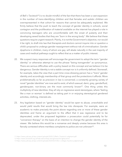of *Bell v Tavistock<sup>11</sup>*) is no doubt mindful of the fact that there has been a vast expansion in the number of trans-identifying children and that females and autistic children are overrepresented in that cohort for reasons that cannot be adequately explained. We firmly believe that the push to teach the concept of gender identity in schools, social contagion and the proliferation of material available on the internet has played a role in convincing teenagers who are uncomfortable with the onset of puberty and their developing sexed bodies that they are "born in the wrong body". We believe that these questions require urgent research. Plainly, it is not the Government's objective, nor would it be right, to draft into law that therapists and doctors cannot inquire into or question a child's proposal to undergo gender reassignment without risk of criminalisation. Gender dysphoria in children, many of whom are gay, will abate naturally in the vast majority of cases and medical pathways ought to reflect that as a matter of public interest.

- 22. We suspect many responses will encourage the government to adopt the term "gender identity" or otherwise attempt to use the phrase "being transgender" as synonymous. There are serious difficulties with a policy based on this concept and we believe it to be dangerous. Gender Identity is not a stable concept nor is it uniformly defined. Stonewall, for example, takes the view that a part time cross-dressing person has a "trans" gender identity and accordingly membership of that group and the protections it affords. More problematically so far as precision in law is concerned, a constantly growing variety of novel "gender identities" are now said to exist, of which asexual, demi, grey, genderfluid, genderqueer, non-binary are the most commonly known<sup>12</sup>. One thing unites this multiplicity of new identities: they all rely on regressive sexist stereotypes, where 'feeling like a man or woman' is defined as taking part in or enjoying stereotypical gendered activities, clothing, interests etc.
- 23. Any legislation based on "gender identity" would be open to abuse, unworkable and would yield results that would bring the law into disrepute. For example, were an academic to make precisely the point above regarding one or more of these gender identities and frame an argument to the effect that it was regressive and to be deprecated, under the proposed legislation a prosecution could potentially lie for "conversion therapy" on the basis of an intention to change the gender identity of the viewer. We believe this would be a nonsense and deeply unwise because this area is fiercely contested where meritless complaints to police are not unknown<sup>13</sup>.

<sup>11</sup> https://www.judiciary.uk/wp-content/uploads/2020/12/Bell-v-Tavistock-Judgment.pdf

<sup>12</sup> https://www.stonewall.org.uk/help-advice/faqs-and-glossary/list-lgbtq-terms

<sup>13</sup> https://www.judiciary.uk/wp-content/uploads/2020/02/miller-v-college-of-police-judgment.pdf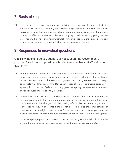## **7 Basis of response**

24. It follows from the above that our response is that gay conversion therapy is sufficiently precise in law and so self-evidently a social ill that the government should ban it and build legislation around that aim. In contrast, banning gender identity conversion therapy as a concept in effect mandates an "affirmation only" approach to treating young people presenting with gender dysphoria which, following evidence from the Tavistock referred to above, can reasonably be viewed a form of gay conversion therapy.

### **8 Responses to individual questions**

Q1: To what extent do you support, or not support, the Government's proposal for addressing physical acts of conversion therapy? Why do you think this?

- 25. The government makes two main proposals; to introduce an intention to cause conversion therapy as an aggravating factor on sentence and training for the Crown Prosecution Service and other statutory organisations to recognise conversion therapy as a problem. So far as this is limited to the conversion of same-sex attracted persons, we agree with this proposal. So far as this is suggested as a policy response to the treatment of gender dysphoria, we strongly disagree.
- 26. In the case of same sex attracted persons who are victims of crime there is obvious value in recognising an intention to bring about conversion therapy as an aggravating factor on sentence and this change could be quickly affected by the Sentencing Council. Conversion therapy in this context should not be restricted to the administration of pseudo-medical or religious interventions. Corrective rape of lesbians happens, and we believe that where this occurs it should attract the aggravation the Government suggests.
- 27. In line with paragraphs 4-24 above we do not believe the government should act on the basis of there being such a concept as conversion therapy for gender identity.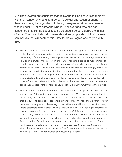Q2: The Government considers that delivering talking conversion therapy with the intention of changing a person's sexual orientation or changing them from being transgender or to being transgender either to someone who is under 18, or to someone who is 18 or over and who has not consented or lacks the capacity to do so should be considered a criminal offence. The consultation document describes proposals to introduce new criminal law that will capture this. How far do you agree or disagree with this?

- 28. So far as same-sex attracted persons are concerned, we agree with this proposal and make the following observations. First, the consultation proposes this matter be an "either way" offence meaning that it is possible it be dealt with in the Magistrates' Court. That court is limited in the case of an either way offence to a period of imprisonment of 6 months in the case of one offence and 12 months maximum where there are two of more either way offences. We find it difficult to reconcile the serious harm that gay conversion therapy causes with the suggestion that it be treated in the same offence bracket as common assault or obstructing the highway. For this reason, we suggest that this offence be indictable only, triable only by jury and sentence only handed down by Judges of the Crown Court; we believe this reflects the serious harm conversion therapy causes and sends out an appropriate signal as to how seriously the Government takes the practice.
- 29. Second, we note that the Government has considered adopting consent provisions for persons over 18 in order to ascertain lawful consent. We register a concern that this would bring the concept into caselaw on ss.74/76 of the Sexual Offences Act 2003 and that the law as to conditional consent is currently in flux. We take the view that for over 18s there is a simpler and clearer way to deal with the social harm of conversion therapy where ostensible consent exists which is simply to criminalise "engaging in or facilitating a same sex conversion therapy practice causing harm". This would remove consent as an issue entirely and place the burden on the practitioner of such conversion practices to ensure their programs do not cause harm. This provides a less complicated law and one far more likely to focus the mind of any court on harm rather than the question of consent. We believe this would also render the law more consistent with present case law to the effect that one cannot consent to harm. The Government will be aware that harm in criminal law connotes both physical and psychological harm.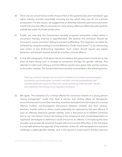- 30. Third, we are concerned as to the misuse of law in this general area and mainstream gay rights industry charities potentially misusing any law which they may do via a private prosecution. For this reason, we suggest that an Attorney-General's permission provision is built into any new offence (as exists for many serious offences) effectively placing them outside the reach of private prosecutors.
- 31. Finally, we note that the Government sensibly proposes prevention orders where a conversion therapy practice is apprehended. We believe this provision should be mirrored in a post-conviction setting to prevent reoffending. This objective can either be achieved by using the existing Criminal Behaviour Order mechanism<sup>14</sup> or by introducing new orders in any forthcoming legislation. Such orders should injunct any repeat behaviour and breach thereof should be a further criminal offence.
- 32. In line with paragraphs 4-24 above we do not believe the government should act on the basis of there being such a concept as conversion therapy for gender identity. Any attempt to make such a thing a criminal offence would carry grave risks and be contrary to the public interest. The Government have sensibly commented in the following terms:

*"Banning conversion therapy must not result in interference for professional psychologists, psychiatrists, psychotherapists, counsellors and other clinicians and healthcare staff providing legitimate support for those who may be questioning if they are LGBT. The ban will complement the existing clinical regulatory framework…"*

33. We agree. The existence of a criminal offence for conversion based on a young person "being transgender" could only have a serious and chilling effect on therapeutic environments and it is not clear how they would be excluded from the scope of a criminal offence. Further, non-therapeutic discussions between children and their parents, teachers, friends online or others could potentially be captured by the new offence. If such an offences embraces gender identity, even a discussion as to whether someone was or not "non binary" (a term we believe to be nonsensical and circular/dependent on regressive stereotypes in definition) could amount to an offence. Criminalising this area of public and private life would be fraught with pronounced difficulties. In the first place it could well achieve the opposite of the intention of the bill, with therapists too scared to challenge a stated gender identity; and in the second it could lead to frankly ludicrous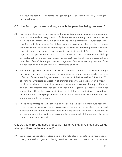prosecutions based around terms like "gender queer" or "nonbinary" likely to bring the law into disrepute.

#### Q3. How far do you agree or disagree with the penalties being proposed?

- 34. Precise penalties are not proposed in the consultation paper beyond the question of criminalisation and the categorisation of offence. We have already made clear that we do not believe this offence should ever start or end life in a Magistrates Court because the practice is sufficiently destructive of lives that a message should be sent that it is taken seriously. So far as conversion therapy applies to same sex attracted persons we would suggest a maximum sentence on conviction on indictment of 14 year to allow the legislation scope to reflect the worst examples of the practice where lifelong psychological harm is caused. Further, we suggest that this offence be classified as a "specified offence" for the purposes of dangerous offender sentencing because of the pronounced harm it causes to same-sex attracted persons.
- 35. We further suggest that in order to deal with cases where commercial conversion therapy has taking place and the Defendant has made gains the offence should be classified as a "lifestyle offence" according to the statutory scheme of the Proceeds of Crime Act 2002 allowing for wholesale confiscation of criminal property. We believe such a measure would also indicate to domestic prosecutors that where conversion therapy is offered at cost over the internet that such schemes should be targets for proceeds of crime act prosecutions. Given the cross-jurisdictional reach of that Act, we believe this could play an important role in helping same-sex attracted youth from ethnic minorities where such programs are offered for gain.
- 36. In line with paragraphs 4-24 above we do not believe the government should act on the basis of there being such a concept as conversion therapy for gender identity nor should penalties be considered for those helping young people with gender dysphoria or particularly given the evidenced risks we have identified of homophobia being a potential motivation for such.

#### Q4. Do you think that these proposals miss anything? If yes, can you tell us what you think we have missed?

37. We believe the Secretary of State is alive to the risks of same-sex attracted young people being referred to gender identity services because or internalised or external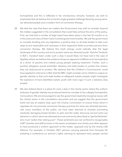homophobia and this is reflected in her introductory remarks; however, we wish to emphasise that we believe this to be the single greatest challenge faced by young samesex attracted people and a modern form of conversion therapy.

- 38. We take the view that there are matters the Government may wish to consider beyond the matters suggested in the consultation that could help achieve the aims of the policy. First, we note that a number of legal cases have taken place in the last 36 months or so in this area and many of them have involved government bodies. We ask the government to consider building into any legislation a positive duty on all state bodies to take such steps as are reasonable and necessary in their respective fields to protect persons from conversion therapy. We believe this small change could radically alter the legal landscape of this country and act to protect same-sex attracted youth. Had the Tavistock in *Bell v Tavistock* been under such a duty it would likely not have lost in the case of Appleby where we believe the evidence shows an apparent indifference to homophobia as a driver of parents and indeed young people seeking treatment. Further, such a positive obligation would embolden statutory and state bodies to protect the citizens they are duty-bound to protect. We observe that the Children's Commissioner could have applied to intervene in *Bell*, that the BBC might consider some children's output on gender identity or that such state bodies as safeguard autistic people might investigate the explosion of trans-identified autistic youth with more vigor if such a statutory duty existed.
- 39. We also believe there is a place for such a duty in the charity sector where the uniform embrace of gender identity has produced what we consider to be a deeply homophobic monoculture. We are encouraged to see the government explicitly recognise issues with the charity sector in the consultation document and we suggest that the government build into law an explicit duty upon the Charity Commission to ensure those whom it regulates do not promote conversion therapy practices for same-sex attracted persons. Like many members of the public, we have been alarmed at charities promoting medically damaging breast binders to girls and the wider discourse around same sex attraction in which same-sex attracted are now commonly described as "genital fetishists" who must "widen their dating pool". These sentiments are not confined to recognisably LGBT charities and staff turnover in the sector as between one charity and other appears to have produced a uniform approach to this matter, opposed only by the charity LGB Alliance. For example, in October 2021 persons carrying placards from Amnesty UK picketing a conference on women's rights claiming to represent trans people carried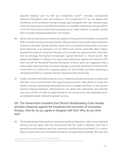placards reading "suck my dick you transphobic cunts<sup>15</sup>". Amnesty subsequently distanced themselves from this behaviour and condemned it<sup>16</sup>, but we believe the confidence of the protestors having Amnesty signs alongside their own obscene signs (which Amnesty were no part of) demonstrates an unhealthy coalescence and groupthink in the UK charity sector where each produces social media material on gender identity that is virtually indistinguishable from one another.

- 40. We are also concerned as to institutional capture of UK government bodies including the NHS and police forces by the said charities. Many produce social media output and enact policies on the basis "gender identity" exists and is a protected characteristic in law (see Essex University as an example). It is not. While such policies ostensibly affect matters beyond the scope of conversion therapy such as single sex space provision, they stem from an ideology that brands homosexuals "genital fetishists" or "sexual racists". We support Sex Matters in calling for an inquiry into institutional capture and, while the CPS have now left the Stonewall Diversity Champions scheme, given our suggestion that a wider public duty to prevent conversion therapy is assumed, we believe it is time for the Government to confront the creeping capture of state bodies by those espousing a metaphysical belief in a "gender identity" separate to the sexed body.
- 41. Finally, we believe that detransitioners are a maligned and ignored group in society and that their voices must be heard. We urge the government to make efforts to locate and speak to groups representing detransitioners and to engage with them on the process towards shaping legislation. Detransitioners can speak with authenticity and authority and many of them are able to speak directly to the concerns we raise regarding samesex attracted people referred to gender services.

#### Q5. The Government considers that Ofcom's Broadcasting Code already provides measures against the broadcast and promotion of conversion therapy. How far do you agree or disagree with this? Why do you think this?

42. The Broadcasting Code applies to broadcast media on television, radio and on-demand services and we agree with the Government that the code is extensive such that it generally protects against same-sex conversion practices being portrayed in a manner likely to cause harm and that hatred and abuse are generally prohibited. We note that

<sup>15</sup> https://twitter.com/mforstater/status/1450018838049873920

<sup>16</sup> https://www.amnesty.org.uk/statement-section-following-portsmouth-conference-october-2021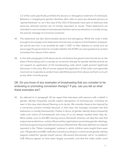3.3 of the code specifically prohibits the abusive or derogatory treatment of individuals. Believers in metaphysical gender identities often refer to same-sex attracted persons as "genital fetishists" or, as in the case of the CEO of Stonewall, have said on television that same-sex attracted women are of morally equivalent to racists. These statements are intended to communicate to homosexuals that their same-sex attraction is morally wrong, the precise message of conversion practices.

- 43. The statements are also demonstrably abusive and derogatory. While the code is wide enough to encompass such statements and we have no desire to limit freedom of speech, we cannot see how it can possibly be right in 2021 to liken lesbians to racists and we encourage the government to consider whether the DCMS can issue guidance to protect minorities from abuse of this nature.
- 44. In line with paragraphs 4-24 above we do not believe the government should act on the basis of there being such a concept as conversion therapy for gender identity and we do not support an application of the broadcasting code which might prevent legitimate discussion in this area. We of course support the application of the code more generally insomuch as it operates to protect trans-identified persons from abuse and harm as much as any other minority group.

#### Q6. Do you know of any examples of broadcasting that you consider to be endorsing or promoting conversion therapy? If yes, can you tell us what these examples are?

45. As referred to in paragraph 30 we regret that interviews with persons with a belief in gender identity frequently include explicit denigration of homosexuals, including (as seen in the case cited above) likening us to racists. We consider these to be inspired by a conversion practice mindset because, in that case, the message conveyed was that lesbianism is morally blameworthy. Parties in favour of gender identity theory frequently make such claims of homosexuals and many of us are deeply insulted when they do. More widely, prior to the BBC leaving various Stonewall schemes, we take the view that output was tendentious, unduly influenced by organisations promoting gender ideology, and that programming and editorial choices reflected that. We draw attention to material reported in the "Nolan Investigates" podcast in which children were taught there were over 100 genders and BBC staff were trained according to a controversial gender identity diagram called the "gender bread" person. We lament that activists' call to "no platform" LGB Alliance appear to have been largely successful, and that the wider public (until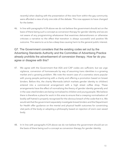recently) when dealing with the presentation of the view from within the gay community were afforded a view of only one side of the debate. This now appears to have changed for the better.

46. In line with paragraphs 4-24 above we do not believe the government should act on the basis of there being such a concept as conversion therapy for gender identity and we are not aware of any programming whatsoever that examines detransitioners or otherwise criticises a narrative to the effect that transition is always successful and positive life outcome. This seems to us to be a deep bias causing harm to the general public interest.

#### Q7. The Government considers that the existing codes set out by the Advertising Standards Authority and the Committee of Advertising Practice already prohibits the advertisement of conversion therapy. How far do you agree or disagree with this?

- 47. We agree with the Government that ASA and CAP codes are sufficient, but we urge vigilance, conversion of homosexuals by way of assuming trans identities is a growing market and a growing problem. We note the recent case of a cosmetics store popular with young people partnering with a charity and offering a promotion based on breast binders. Before this, the charity Mermaids (which markets gender identity to children) entered into a commercial arrangement with a high street coffee shop. These arrangements have the effect of normalising the theory of gender identity generally and in the case cited binders are being normalised to children and young people. We believe there is therefore a place for work in this area to ensure that a creeping normalisation of bodily self-hatred is properly recognised for the obvious breach of the code that it is. We would ask that the government separately investigate breast binders and the Department for Health offer guidance on the mental and physical health outcomes for constricting vital parts of the body or adopting a philosophy based on rejection of one's own sexed body.
- 48. In In line with paragraphs 4-24 above we do not believe the government should act on the basis of there being such a concept as conversion therapy for gender identity.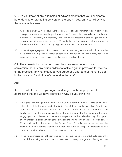#### Q8. Do you know of any examples of advertisements that you consider to be endorsing or promoting conversion therapy? If yes, can you tell us what these examples are?

- 49. As per paragraph 35 we believe there are commercial endeavors that support conversion therapy because a substantial portion of those, for example, persuaded to use breast binders will inevitably be lesbians, who are overrepresented among gender nonconforming children / young people. We similarly consider commercial arrangements from charities based on the theory of gender identity to constitute examples.
- 50. In line with paragraphs 4-24 above we do not believe the government should act on the basis of there being such a concept as conversion therapy for gender identity nor to our knowledge do any examples of advertisements based on this exist.

Q9: The consultation document describes proposals to introduce conversion therapy protection orders to tackle a gap in provision for victims of the practice. To what extent do you agree or disagree that there is a gap in the provision for victims of conversion therapy?

#### And

#### Q10: To what extent do you agree or disagree with our proposals for addressing the gap we have identified? Why do you think this?

- 51. We agree with the government that an injunctive remedy such as exists pursuant to schedule 2 of the Female Genital Mutilation Act 2003 should be available. As with that legislation we take the view that it is sensible such orders are available in criminal and family courts for this purpose. We have offered the view that the criminal offence of engaging in or facilitation a conversion therapy practice be indictable only, if adopted, this might leave a person in danger as between the first hearing of a case in a Magistrates Court and hearing thereafter in the Crown Court. For this reason, we suggest the machinery of the Female Genital Mutilation Act 2003 be adapted wholesale to this situation such that a Magistrates Court may make such an order.
- 52. In line with paragraphs 4-24 above we do not believe the government should act on the basis of there being such a concept as conversion therapy for gender identity and we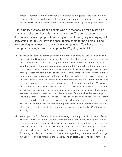foresee enormous dangers if the legislative structure suggested were available in this context. A third party wishing to enshrine gender identity in law or create test cases could seek orders as against reasonable therapists, parents or those providing healthcare.

Q11: Charity trustees are the people who are responsible for governing a charity and directing how it is managed and run. The consultation document describes proposals whereby anyone found guilty of carrying out conversion therapy will have the case against them for being disqualified from serving as a trustee at any charity strengthened. To what extent do you agree or disagree with this approach? Why do you think this?

- 53. So far as conversion therapy practices are applied to same-sex attracted persons we agree with the Government for the need to strengthen the likelihood that such persons are removed as trustees or senior figures or that such charities are brought swiftly to an end. Following on from our suggestion at paragraph 27, we believe there should be a positive duty on the Charity Commission to ensure such persons who support or promote these practices are kept out of positions in the charity sector where they might thereby harm young people. We support the suggestion that a criminal conviction for engaging in or facilitating a same sex-attraction conversion practice should strengthen the hand of the charity commission to remove such persons, but we would go further. We suggest any sentencing judge in the Crown Court have available ancillary to sentence a power to direct the charity commission to remove such a trustee or senior officer. Engaging in same-sex conversion practices should be a serious offence and we believe the public would expect such persons not to occupy positions of power or influence and that their removal should be swift and effective. We note with some concern the activity of the charity sector generally in this area and in particular the Court's remarks that one such charity made the treatment of children at the Tavistock "more difficult" in the case of *Appleby*.
- 54. We suspect the Cass Review will have more to say on this topic, but it is a matter of great concern that charities professing a belief in gender identity theory have operated in this manner apparently without sanction. As we have commented, we take the view that the case for proper oversight in this area is unanswerable. Campaigning, ideological charities such as the in *Appleby* have no place in the highly specialised field of medicine for young people with complex problems. We urge the government therefore to go further here and commission the Department of Health to consider whether it is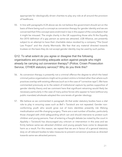appropriate for ideologically driven charities to play any role at all around the provision of healthcare.

55. In line with paragraphs 4-24 above we do not believe the government should act on the basis of there being such a concept as conversion therapy for gender identity and we are concerned that if this concept were enshrined in law in this aspect of the consultation that it might be misused. The single charity in the UK supporting those who fit the Equality Act 2010 definition of a gay person as same-sex attracted, LGB Alliance, are presently subject to an attempt to have their charitable status revoked by a company "The Good Law Project" and the charity Mermaids. We fear that any material directed towards trustees on the basis they do not accept gender identity may be used by such parties.

#### Q12. To what extent do you agree or disagree that the following organisations are providing adequate action against people who might already be carrying out conversion therapy? (Police; Crown Prosecution Service; OTHER statutory service)? Why do you think this?

- 56. As conversion therapy is presently not a criminal offence the degree to which the listed criminal justice organisations might act to protect victims is limited other than where such practices overlap with existing offences (such as in the case of "corrective rape"). We have commented previously as to the extent of institutional capture by parties supportive of gender identity theory and we comment here that significant retraining would likely be necessary particularly in the case of many police forces who appear to have (without any public mandate) wholesale adopted the core tenets of gender ideology.
- 57. We believe as we commented in paragraph 26 that wider statutory bodies have a vital role to play in ensuring cases such as *Bell v Tavistock* are not repeated. Gender nonconforming youth who would grow out of trans identities presently risk lifelong medicalisation and life-changing surgery. There are a vast number of bodies, particularly those charged with child safeguarding which can and should intervene to protect such children and young persons. Fear of entering a fraught debate (as noted by the court in *Appleby v Tavistock*) has discouraged any criticism or intervention in this area and we firmly believe same-sex attracted children and young people have come to desperate harm as a result. For this reason, we repeat that we are in favour of a general statutory duty on all relevant bodies to take measures to prevent conversion practices as directed towards same-sex attracted persons.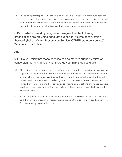58. In line with paragraphs 4-24 above we do not believe the government should act on the basis of there being such a concept as conversion therapy for gender identity and we can thus identify no instances of a state body acting in respect of "victims" who we believe are better described as patients presenting with assumed trans identities.

Q13. To what extent do you agree or disagree that the following organisations are providing adequate support for victims of conversion therapy? (Police; Crown Prosecution Service; OTHER statutory service)? Why do you think this?

#### And

#### Q14. Do you think that these services can do more to support victims of conversion therapy? If yes, what more do you think they could do?

- 59. The victims of modern gay conversion therapy are primarily detransitioners. Almost no support is available on the NHS and their voices are marginalised and often castigated by mainstream discourse. We believe this is a hugely neglected area of public policy where the Government has a moral obligation to act decisively. Detransitioners are badly in need of counselling, medical advice as to lifetime complications and wider support services to assist with the various secondary problems persons with lifelong medical conditions face.
- 60. As we suggested earlier, we believe the government should consult with detransitioners and the very few groups that represent and support them to work on building services for this currently neglected cohort.